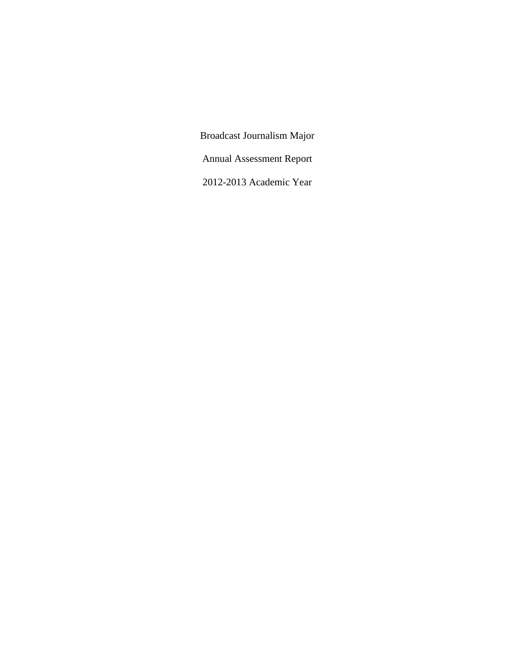Broadcast Journalism Major Annual Assessment Report 2012-2013 Academic Year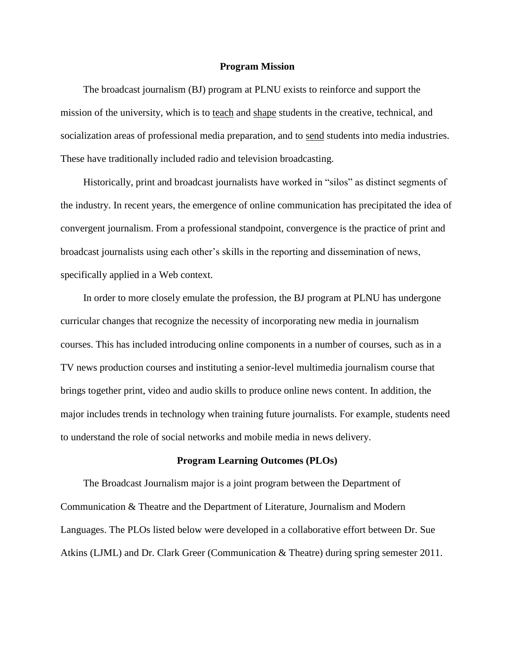### **Program Mission**

The broadcast journalism (BJ) program at PLNU exists to reinforce and support the mission of the university, which is to teach and shape students in the creative, technical, and socialization areas of professional media preparation, and to send students into media industries. These have traditionally included radio and television broadcasting.

Historically, print and broadcast journalists have worked in "silos" as distinct segments of the industry. In recent years, the emergence of online communication has precipitated the idea of convergent journalism. From a professional standpoint, convergence is the practice of print and broadcast journalists using each other's skills in the reporting and dissemination of news, specifically applied in a Web context.

In order to more closely emulate the profession, the BJ program at PLNU has undergone curricular changes that recognize the necessity of incorporating new media in journalism courses. This has included introducing online components in a number of courses, such as in a TV news production courses and instituting a senior-level multimedia journalism course that brings together print, video and audio skills to produce online news content. In addition, the major includes trends in technology when training future journalists. For example, students need to understand the role of social networks and mobile media in news delivery.

#### **Program Learning Outcomes (PLOs)**

The Broadcast Journalism major is a joint program between the Department of Communication & Theatre and the Department of Literature, Journalism and Modern Languages. The PLOs listed below were developed in a collaborative effort between Dr. Sue Atkins (LJML) and Dr. Clark Greer (Communication & Theatre) during spring semester 2011.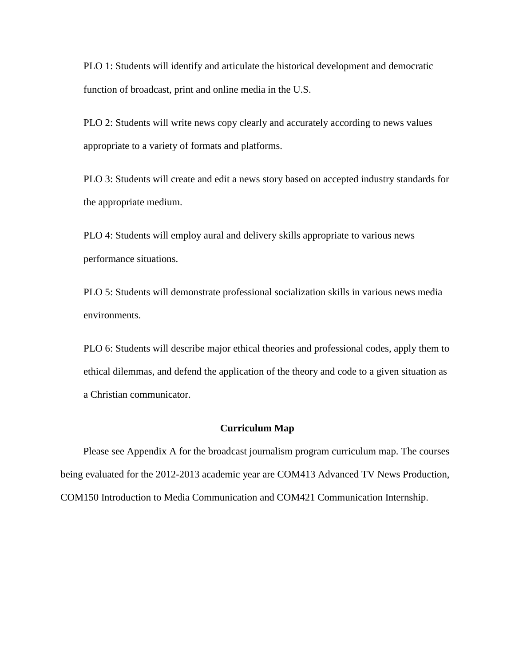PLO 1: Students will identify and articulate the historical development and democratic function of broadcast, print and online media in the U.S.

PLO 2: Students will write news copy clearly and accurately according to news values appropriate to a variety of formats and platforms.

PLO 3: Students will create and edit a news story based on accepted industry standards for the appropriate medium.

PLO 4: Students will employ aural and delivery skills appropriate to various news performance situations.

PLO 5: Students will demonstrate professional socialization skills in various news media environments.

PLO 6: Students will describe major ethical theories and professional codes, apply them to ethical dilemmas, and defend the application of the theory and code to a given situation as a Christian communicator.

# **Curriculum Map**

Please see Appendix A for the broadcast journalism program curriculum map. The courses being evaluated for the 2012-2013 academic year are COM413 Advanced TV News Production, COM150 Introduction to Media Communication and COM421 Communication Internship.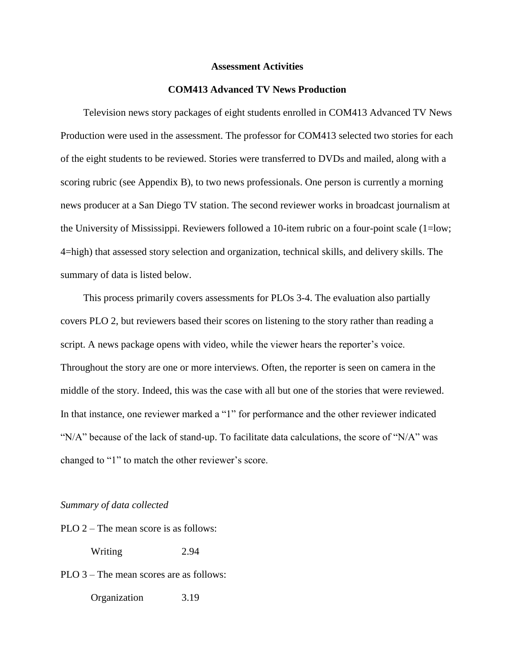## **Assessment Activities**

# **COM413 Advanced TV News Production**

Television news story packages of eight students enrolled in COM413 Advanced TV News Production were used in the assessment. The professor for COM413 selected two stories for each of the eight students to be reviewed. Stories were transferred to DVDs and mailed, along with a scoring rubric (see Appendix B), to two news professionals. One person is currently a morning news producer at a San Diego TV station. The second reviewer works in broadcast journalism at the University of Mississippi. Reviewers followed a 10-item rubric on a four-point scale (1=low; 4=high) that assessed story selection and organization, technical skills, and delivery skills. The summary of data is listed below.

This process primarily covers assessments for PLOs 3-4. The evaluation also partially covers PLO 2, but reviewers based their scores on listening to the story rather than reading a script. A news package opens with video, while the viewer hears the reporter's voice. Throughout the story are one or more interviews. Often, the reporter is seen on camera in the middle of the story. Indeed, this was the case with all but one of the stories that were reviewed. In that instance, one reviewer marked a "1" for performance and the other reviewer indicated " $N/A$ " because of the lack of stand-up. To facilitate data calculations, the score of " $N/A$ " was changed to "1" to match the other reviewer's score.

# *Summary of data collected*

PLO 2 – The mean score is as follows:

Writing 2.94

PLO 3 – The mean scores are as follows: Organization 3.19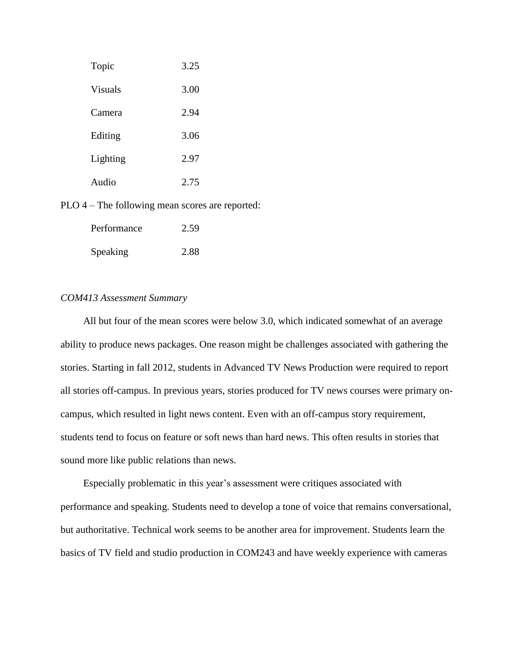| Topic    | 3.25 |
|----------|------|
| Visuals  | 3.00 |
| Camera   | 2.94 |
| Editing  | 3.06 |
| Lighting | 2.97 |
| Audio    | 2.75 |

PLO 4 – The following mean scores are reported:

| Performance | 2.59 |
|-------------|------|
| Speaking    | 2.88 |

# *COM413 Assessment Summary*

All but four of the mean scores were below 3.0, which indicated somewhat of an average ability to produce news packages. One reason might be challenges associated with gathering the stories. Starting in fall 2012, students in Advanced TV News Production were required to report all stories off-campus. In previous years, stories produced for TV news courses were primary oncampus, which resulted in light news content. Even with an off-campus story requirement, students tend to focus on feature or soft news than hard news. This often results in stories that sound more like public relations than news.

Especially problematic in this year's assessment were critiques associated with performance and speaking. Students need to develop a tone of voice that remains conversational, but authoritative. Technical work seems to be another area for improvement. Students learn the basics of TV field and studio production in COM243 and have weekly experience with cameras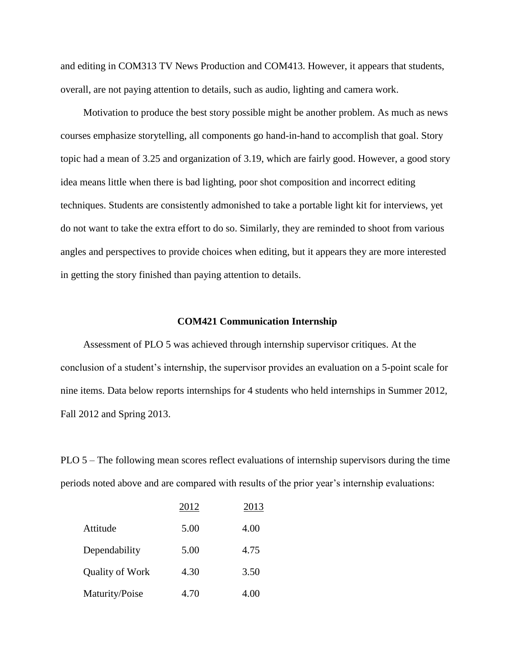and editing in COM313 TV News Production and COM413. However, it appears that students, overall, are not paying attention to details, such as audio, lighting and camera work.

Motivation to produce the best story possible might be another problem. As much as news courses emphasize storytelling, all components go hand-in-hand to accomplish that goal. Story topic had a mean of 3.25 and organization of 3.19, which are fairly good. However, a good story idea means little when there is bad lighting, poor shot composition and incorrect editing techniques. Students are consistently admonished to take a portable light kit for interviews, yet do not want to take the extra effort to do so. Similarly, they are reminded to shoot from various angles and perspectives to provide choices when editing, but it appears they are more interested in getting the story finished than paying attention to details.

# **COM421 Communication Internship**

Assessment of PLO 5 was achieved through internship supervisor critiques. At the conclusion of a student's internship, the supervisor provides an evaluation on a 5-point scale for nine items. Data below reports internships for 4 students who held internships in Summer 2012, Fall 2012 and Spring 2013.

PLO 5 – The following mean scores reflect evaluations of internship supervisors during the time periods noted above and are compared with results of the prior year's internship evaluations:

|                 | 2012 | 2013 |
|-----------------|------|------|
| Attitude        | 5.00 | 4.00 |
| Dependability   | 5.00 | 4.75 |
| Quality of Work | 4.30 | 3.50 |
| Maturity/Poise  | 4.70 | 4.00 |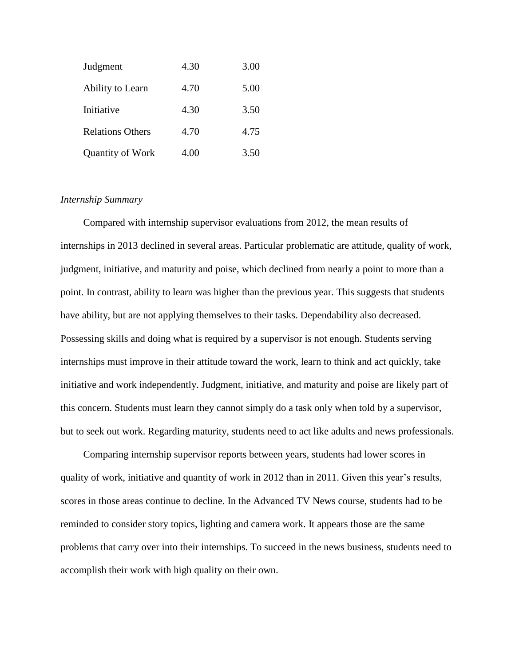| Judgment                | 4.30 | 3.00 |
|-------------------------|------|------|
| Ability to Learn        | 4.70 | 5.00 |
| Initiative              | 4.30 | 3.50 |
| <b>Relations Others</b> | 4.70 | 4.75 |
| Quantity of Work        | 4.00 | 3.50 |

# *Internship Summary*

Compared with internship supervisor evaluations from 2012, the mean results of internships in 2013 declined in several areas. Particular problematic are attitude, quality of work, judgment, initiative, and maturity and poise, which declined from nearly a point to more than a point. In contrast, ability to learn was higher than the previous year. This suggests that students have ability, but are not applying themselves to their tasks. Dependability also decreased. Possessing skills and doing what is required by a supervisor is not enough. Students serving internships must improve in their attitude toward the work, learn to think and act quickly, take initiative and work independently. Judgment, initiative, and maturity and poise are likely part of this concern. Students must learn they cannot simply do a task only when told by a supervisor, but to seek out work. Regarding maturity, students need to act like adults and news professionals.

Comparing internship supervisor reports between years, students had lower scores in quality of work, initiative and quantity of work in 2012 than in 2011. Given this year's results, scores in those areas continue to decline. In the Advanced TV News course, students had to be reminded to consider story topics, lighting and camera work. It appears those are the same problems that carry over into their internships. To succeed in the news business, students need to accomplish their work with high quality on their own.